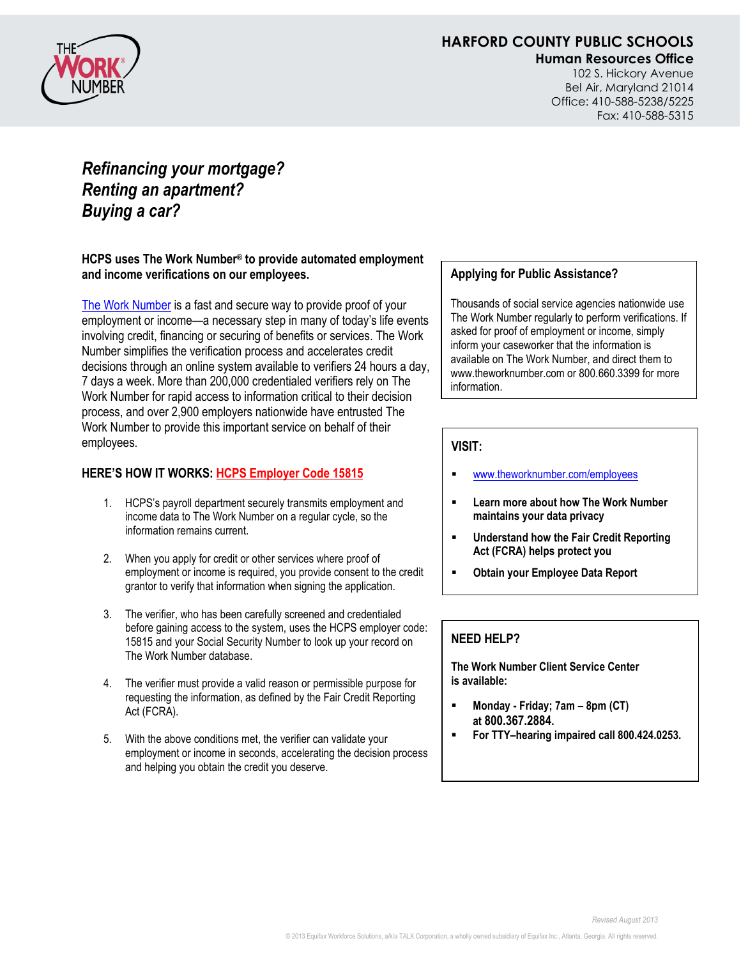

# **HARFORD COUNTY PUBLIC SCHOOLS**

**Human Resources Office**

102 S. Hickory Avenue Bel Air, Maryland 21014 Office: 410-588-5238/5225 Fax: 410-588-5315

# *Refinancing your mortgage? Renting an apartment? Buying a car?*

**HCPS uses The Work Number® to provide automated employment and income verifications on our employees.**

[The Work Number](http://www.theworknumber.com/employees) is a fast and secure way to provide proof of your employment or income—a necessary step in many of today's life events involving credit, financing or securing of benefits or services. The Work Number simplifies the verification process and accelerates credit decisions through an online system available to verifiers 24 hours a day, 7 days a week. More than 200,000 credentialed verifiers rely on The Work Number for rapid access to information critical to their decision process, and over 2,900 employers nationwide have entrusted The Work Number to provide this important service on behalf of their employees.

### **HERE'S HOW IT WORKS: HCPS Employer Code 15815**

- 1. HCPS's payroll department securely transmits employment and income data to The Work Number on a regular cycle, so the information remains current.
- 2. When you apply for credit or other services where proof of employment or income is required, you provide consent to the credit grantor to verify that information when signing the application.
- 3. The verifier, who has been carefully screened and credentialed before gaining access to the system, uses the HCPS employer code: 15815 and your Social Security Number to look up your record on The Work Number database.
- 4. The verifier must provide a valid reason or permissible purpose for requesting the information, as defined by the Fair Credit Reporting Act (FCRA).
- 5. With the above conditions met, the verifier can validate your employment or income in seconds, accelerating the decision process and helping you obtain the credit you deserve.

#### **Applying for Public Assistance?**

Thousands of social service agencies nationwide use The Work Number regularly to perform verifications. If asked for proof of employment or income, simply inform your caseworker that the information is available on The Work Number, and direct them to www.theworknumber.com or 800.660.3399 for more information.

### **VISIT:**

- [www.theworknumber.com/employees](http://www.theworknumber.com/employees)
- **Learn more about how The Work Number maintains your data privacy**
- **Understand how the Fair Credit Reporting Act (FCRA) helps protect you**
- **Obtain your Employee Data Report**

### **NEED HELP?**

**The Work Number Client Service Center is available:**

- $\blacksquare$  Monday Friday; 7am 8pm (CT) **at 800.367.2884.**
- **For TTY–hearing impaired call 800.424.0253.**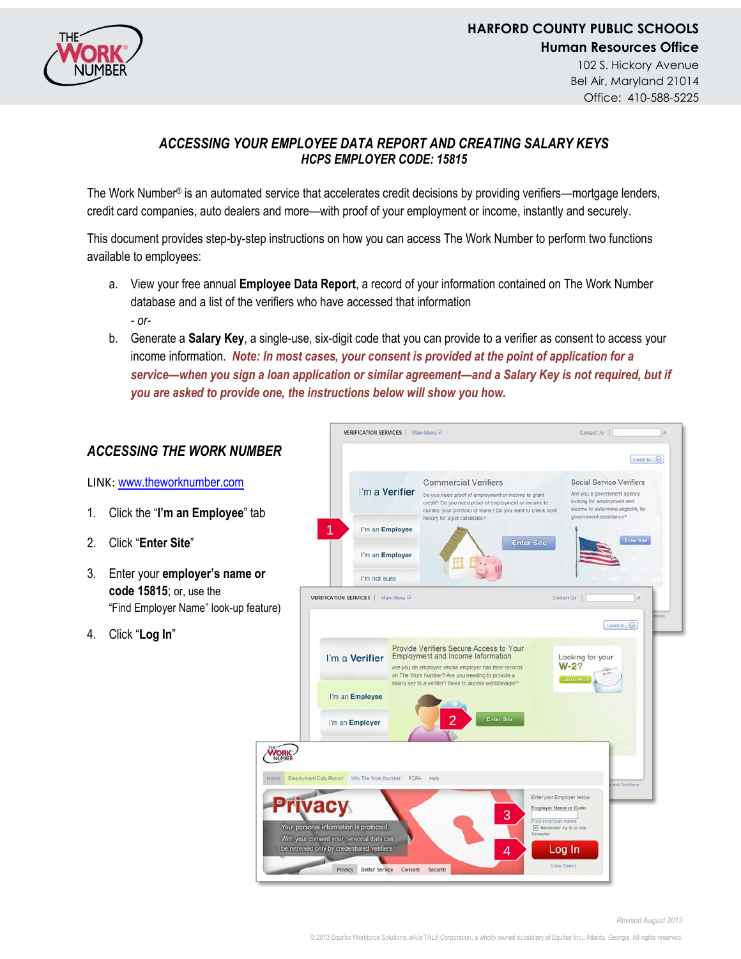

## *ACCESSING YOUR EMPLOYEE DATA REPORT AND CREATING SALARY KEYS HCPS EMPLOYER CODE: 15815*

The Work Number® is an automated service that accelerates credit decisions by providing verifiers—mortgage lenders, credit card companies, auto dealers and more—with proof of your employment or income, instantly and securely.

This document provides step-by-step instructions on how you can access The Work Number to perform two functions available to employees:

- a. View your free annual **Employee Data Report**, a record of your information contained on The Work Number database and a list of the verifiers who have accessed that information *- or-*
- b. Generate a **Salary Key**, a single-use, six-digit code that you can provide to a verifier as consent to access your income information. *Note: In most cases, your consent is provided at the point of application for a service—when you sign a loan application or similar agreement—and a Salary Key is not required, but if you are asked to provide one, the instructions below will show you how.*

|                                                                                                         | VERIFICATION SERVICES   Main Menu                                                                                                                                                                                                                                                                                                                                                                                                                                                                                                                 | Contact Us                                                                                                                                                                                                     |
|---------------------------------------------------------------------------------------------------------|---------------------------------------------------------------------------------------------------------------------------------------------------------------------------------------------------------------------------------------------------------------------------------------------------------------------------------------------------------------------------------------------------------------------------------------------------------------------------------------------------------------------------------------------------|----------------------------------------------------------------------------------------------------------------------------------------------------------------------------------------------------------------|
| <b>ACCESSING THE WORK NUMBER</b>                                                                        |                                                                                                                                                                                                                                                                                                                                                                                                                                                                                                                                                   | I want to $\boxed{\vee}$                                                                                                                                                                                       |
| LINK: www.theworknumber.com                                                                             | <b>Commercial Verifiers</b><br>I'm a Verifier<br>Do you need proof of employment or income to grant                                                                                                                                                                                                                                                                                                                                                                                                                                               | Social Service Verifiers<br>Are you a government agency<br>looking for employment and                                                                                                                          |
| Click the "I'm an Employee" tab<br>1.                                                                   | credit? Do you need proof of employment or income to<br>monitor your portfolio of loans? Do you want to check work<br>history for a job candidate?                                                                                                                                                                                                                                                                                                                                                                                                | Income to determine eligibility for<br>government assistance?                                                                                                                                                  |
| Click "Enter Site"                                                                                      | I'm an Employee<br>I'm an Employer                                                                                                                                                                                                                                                                                                                                                                                                                                                                                                                | Enter Site<br><b>Enter Site</b>                                                                                                                                                                                |
| 3.<br>Enter your employer's name or<br>code 15815; or, use the<br>"Find Employer Name" look-up feature) | I'm not sure<br>VERIFICATION SERVICES   Main Menu @                                                                                                                                                                                                                                                                                                                                                                                                                                                                                               | Contact Us<br>tons                                                                                                                                                                                             |
| Click "Log In"<br>4.<br><b>Privacy</b>                                                                  | Provide Verifiers Secure Access to Your<br>Employment and Income Information.<br>I'm a Verifier<br>Are you an employee whose employer has their records<br>on The Work Number? Are you needing to provide a<br>salary key to a verifier? Need to access webManager?<br>I'm an Employee<br>2<br><b>Enter Site</b><br>I'm an Employer<br>Home Employment Data Report Why The Work Number FCRA Help<br>3<br>Your personal information is protected.<br>With your consent your personal data can<br>be retreived only by credentialed verifiers.<br>4 | I want to [V]<br>Looking for your<br>$W-2?$<br><b>Learn Mo</b><br>and Conditions<br>Enter your Employer below.<br>Employer Name or Code:<br>Find employer name<br>Remember my ID on this<br>Computer<br>Log In |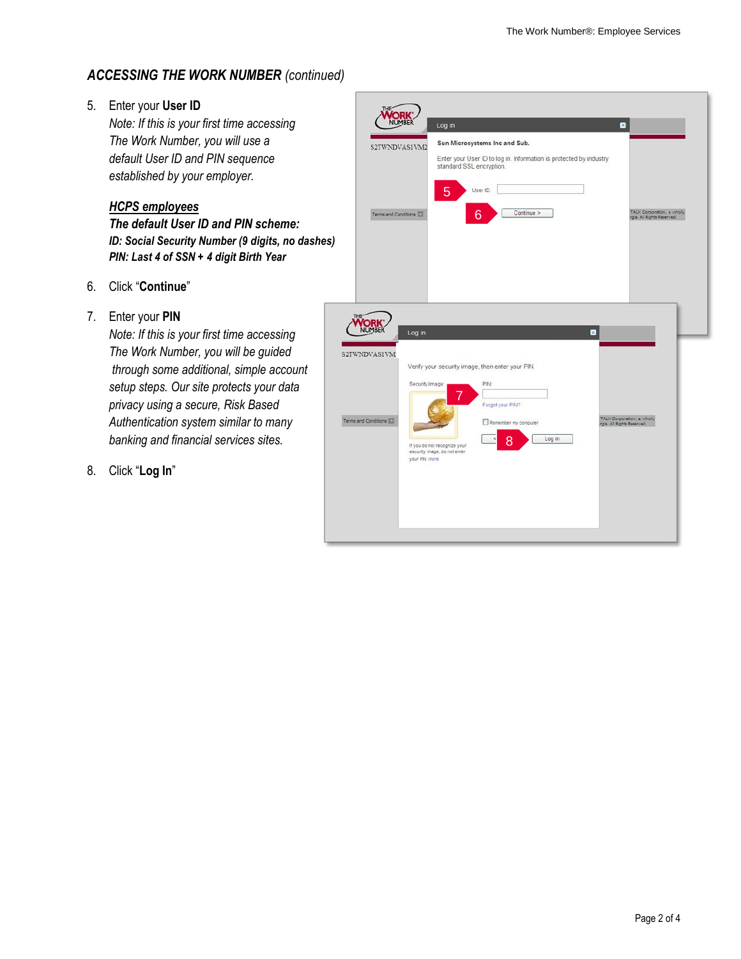# *ACCESSING THE WORK NUMBER (continued)*

### 5. Enter your **User ID**

*Note: If this is your first time accessing The Work Number, you will use a default User ID and PIN sequence established by your employer.*

### *HCPS employees*

*The default User ID and PIN scheme: ID: Social Security Number (9 digits, no dashes) PIN: Last 4 of SSN + 4 digit Birth Year*

- 6. Click "**Continue**"
- 7. Enter your **PIN**

*Note: If this is your first time accessing The Work Number, you will be guided through some additional, simple account setup steps. Our site protects your data privacy using a secure, Risk Based Authentication system similar to many banking and financial services sites.*

8. Click "**Log In**"

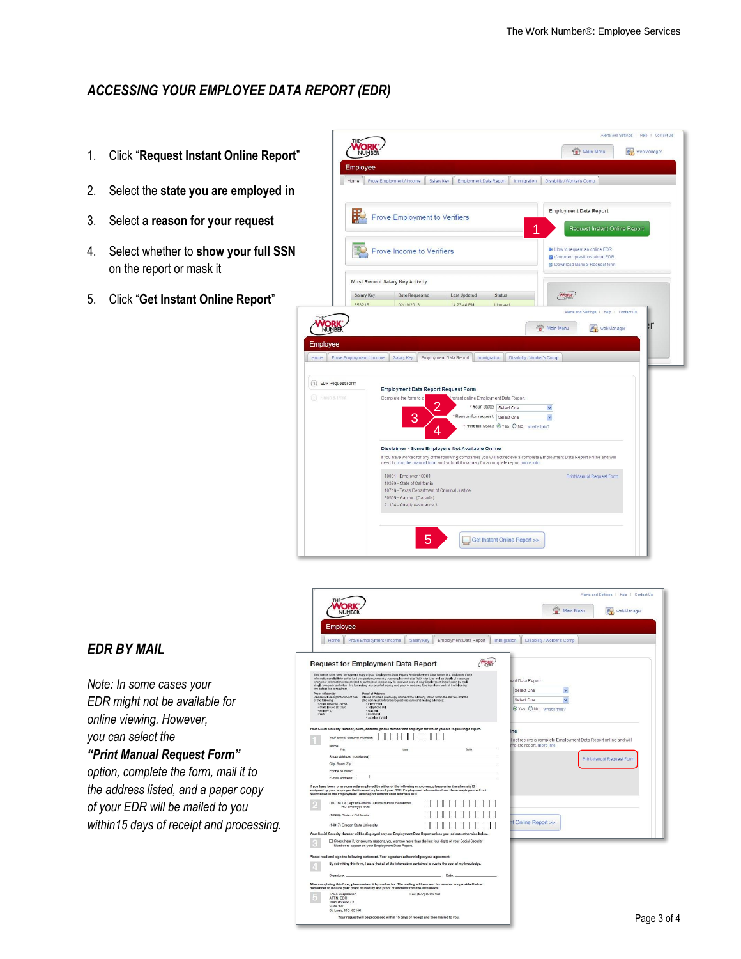## *ACCESSING YOUR EMPLOYEE DATA REPORT (EDR)*

- 1. Click "**Request Instant Online Report**"
- 2. Select the **state you are employed in**
- 3. Select a **reason for your request**
- 4. Select whether to **show your full SSN** on the report or mask it
- 5. Click "**Get Instant Online Report**"



### *EDR BY MAIL*

*Note: In some cases your EDR might not be available for online viewing. However, you can select the "Print Manual Request Form" option, complete the form, mail it to the address listed, and a paper copy of your EDR will be mailed to you within15 days of receipt and processing.*